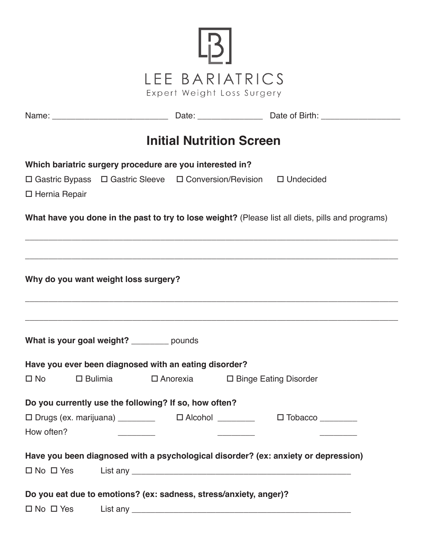

| <b>Initial Nutrition Screen</b>                                                                   |  |  |  |  |  |  |  |
|---------------------------------------------------------------------------------------------------|--|--|--|--|--|--|--|
| Which bariatric surgery procedure are you interested in?                                          |  |  |  |  |  |  |  |
| □ Gastric Bypass □ Gastric Sleeve □ Conversion/Revision □ Undecided<br>□ Hernia Repair            |  |  |  |  |  |  |  |
| What have you done in the past to try to lose weight? (Please list all diets, pills and programs) |  |  |  |  |  |  |  |
|                                                                                                   |  |  |  |  |  |  |  |
| Why do you want weight loss surgery?                                                              |  |  |  |  |  |  |  |
| What is your goal weight? _______ pounds                                                          |  |  |  |  |  |  |  |
| Have you ever been diagnosed with an eating disorder?                                             |  |  |  |  |  |  |  |
| $\square$ No $\square$<br>□ Bulimia □ Anorexia □ Binge Eating Disorder                            |  |  |  |  |  |  |  |
| Do you currently use the following? If so, how often?                                             |  |  |  |  |  |  |  |
| □ Drugs (ex. marijuana) _________   □ Alcohol _________   □ Tobacco _________<br>How often?       |  |  |  |  |  |  |  |
| Have you been diagnosed with a psychological disorder? (ex: anxiety or depression)                |  |  |  |  |  |  |  |
| $\Box$ No $\Box$ Yes                                                                              |  |  |  |  |  |  |  |
| Do you eat due to emotions? (ex: sadness, stress/anxiety, anger)?                                 |  |  |  |  |  |  |  |

o No o Yes List any \_\_\_\_\_\_\_\_\_\_\_\_\_\_\_\_\_\_\_\_\_\_\_\_\_\_\_\_\_\_\_\_\_\_\_\_\_\_\_\_\_\_\_\_\_\_\_